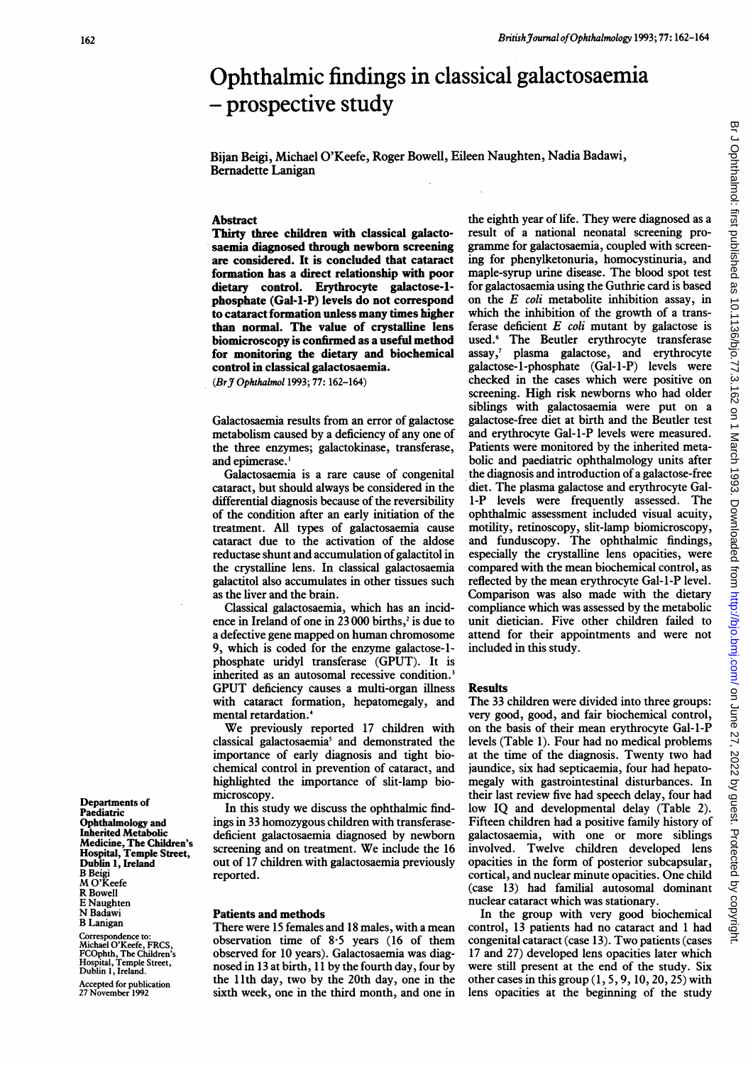# Ophthalmic findings in classical galactosaemia - prospective study

Bijan Beigi, Michael O'Keefe, Roger Bowell, Eileen Naughten, Nadia Badawi, Bernadette Lanigan

## Abstract

Thirty three children with classical galactosaemia diagnosed through newborn screening are considered. It is concluded that cataract formation has a direct relationship with poor dietary control. Erythrocyte galactose-lphosphate (Gal-1-P) levels do not correspond to cataract formation unless many times higher than normal. The value of crystalline lens biomicroscopy is confirmed as a useful method for monitoring the dietary and biochemical control in classical galactosaemia.

(BrJ Ophthalmol 1993; 77: 162-164)

Galactosaemia results from an error of galactose metabolism caused by a deficiency of any one of the three enzymes; galactokinase, transferase, and epimerase.'

Galactosaemia is a rare cause of congenital cataract, but should always be considered in the differential diagnosis because of the reversibility of the condition after an early initiation of the treatment. All types of galactosaemia cause cataract due to the activation of the aldose reductase shunt and accumulation of galactitol in the crystalline lens. In classical galactosaemia galactitol also accumulates in other tissues such as the liver and the brain.

Classical galactosaemia, which has an incidence in Ireland of one in  $23\,000$  births,<sup>2</sup> is due to <sup>a</sup> defective gene mapped on human chromosome 9, which is coded for the enzyme galactose-lphosphate uridyl transferase (GPUT). It is inherited as an autosomal recessive condition.<sup>3</sup> GPUT deficiency causes <sup>a</sup> multi-organ illness with cataract formation, hepatomegaly, and mental retardation.4

We previously reported <sup>17</sup> children with classical galactosaemia<sup>5</sup> and demonstrated the importance of early diagnosis and tight biochemical control in prevention of cataract, and highlighted the importance of slit-lamp biomicroscopy.

In this study we discuss the ophthalmic findings in 33 homozygous children with transferasedeficient galactosaemia diagnosed by newborn screening and on treatment. We include the <sup>16</sup> out of 17 children with galactosaemia previously reported.

# Patients and methods

There were 15 females and 18 males, with a mean observation time of 8-5 years (16 of them observed for 10 years). Galactosaemia was diagnosed in 13 at birth, 11 by the fourth day, four by the 11th day, two by the 20th day, one in the sixth week, one in the third month, and one in

the eighth year of life. They were diagnosed as a result of a national neonatal screening programme for galactosaemia, coupled with screening for phenylketonuria, homocystinuria, and maple-syrup urine disease. The blood spot test for galactosaemia using the Guthrie card is based on the  $E$  coli metabolite inhibition assay, in which the inhibition of the growth of a transferase deficient  $E$  coli mutant by galactose is used.<sup>6</sup> The Beutler erythrocyte transferase assay,<sup>7</sup> plasma galactose, and erythrocyte galactose-l-phosphate (Gal-l-P) levels were checked in the cases which were positive on screening. High risk newborns who had older siblings with galactosaemia were put on a galactose-free diet at birth and the Beutler test and erythrocyte Gal-l-P levels were measured. Patients were monitored by the inherited metabolic and paediatric ophthalmology units after the diagnosis and introduction of a galactose-free diet. The plasma galactose and erythrocyte Gal-1-P levels were frequently assessed. The ophthalmic assessment included visual acuity, motility, retinoscopy, slit-lamp biomicroscopy, and funduscopy. The ophthalmic findings, especially the crystalline lens opacities, were compared with the mean biochemical control, as reflected by the mean erythrocyte Gal-l-P level. Comparison was also made with the dietary compliance which was assessed by the metabolic unit dietician. Five other children failed to attend for their appointments and were not included in this study.

#### Results

The 33 children were divided into three groups: very good, good, and fair biochemical control, on the basis of their mean erythrocyte Gal-l-P levels (Table 1). Four had no medical problems at the time of the diagnosis. Twenty two had jaundice, six had septicaemia, four had hepatomegaly with gastrointestinal disturbances. In their last review five had speech delay, four had low IQ and developmental delay (Table 2). Fifteen children had a positive family history of galactosaemia, with one or more siblings involved. Twelve children developed lens opacities in the form of posterior subcapsular, cortical, and nuclear minute opacities. One child (case 13) had familial autosomal dominant nuclear cataract which was stationary.

In the group with very good biochemical control, 13 patients had no cataract and <sup>1</sup> had congenital cataract (case 13). Two patients (cases 17 and 27) developed lens opacities later which were still present at the end of the study. Six other cases in this group  $(1, 5, 9, 10, 20, 25)$  with lens opacities at the beginning of the study

Departments of Paediatric Ophthalmology and Inherited Metabolic Medicine, The Children's Hospital, Temple Street, Dublin 1, Ireland B Beigi M O'Keefe R Bowell E Naughten N Badawi B Lanigan

Correspondence to: Michael O'Keefe, FRCS, FCOphth, The Children's Hospital, Temple Street, Dublin 1, Ireland. Accepted for publication 27 November 1992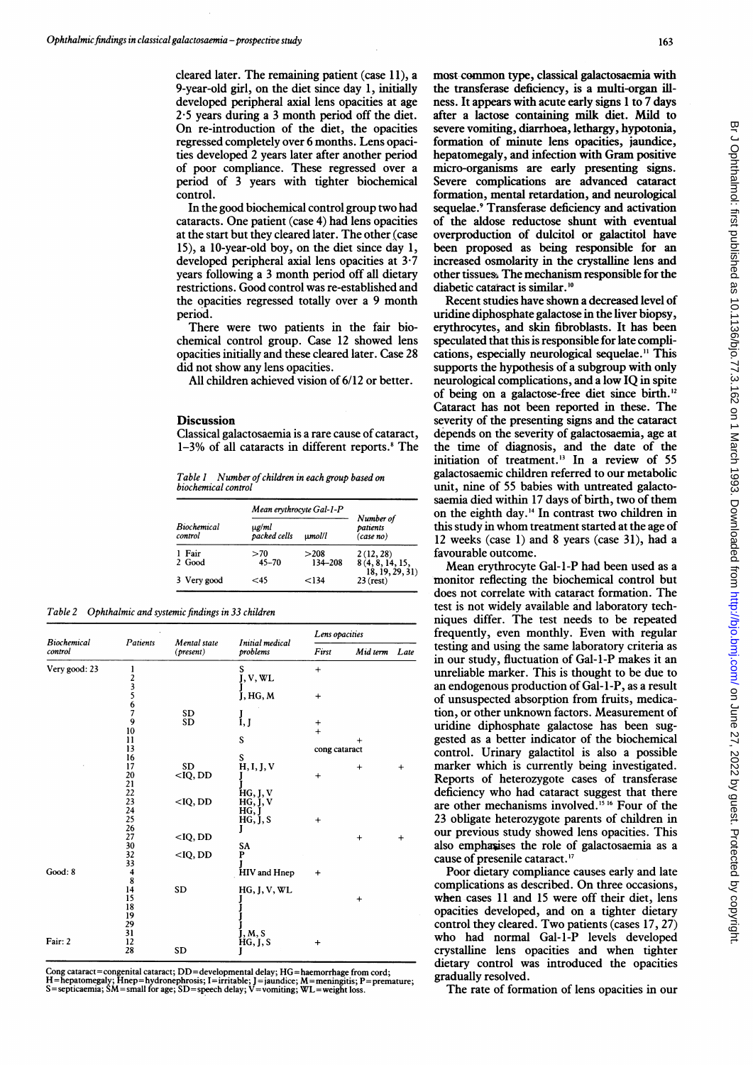cleared later. The remaining patient (case 11), a 9-year-old girl, on the diet since day 1, initially developed peripheral axial lens opacities at age 2-5 years during a 3 month period off the diet. On re-introduction of the diet, the opacities regressed completely over 6 months. Lens opacities developed 2 years later after another period of poor compliance. These regressed over a period of 3 years with tighter biochemical control.

In the good biochemical control group two had cataracts. One patient (case 4) had lens opacities at the start but they cleared later. The other (case 15), a 10-year-old boy, on the diet since day 1, developed peripheral axial lens opacities at 3-7 years following a 3 month period off all dietary restrictions. Good control was re-established and the opacities regressed totally over a 9 month period.

There were two patients in the fair biochemical control group. Case 12 showed lens opacities initially and these cleared later. Case 28 did not show any lens opacities.

All children achieved vision of 6/12 or better.

## **Discussion**

Classical galactosaemia is a rare cause of cataract,  $1-3%$  of all cataracts in different reports.<sup>8</sup> The

Table 1 Number of children in each group based on biochemical control

| <b>Biochemical</b><br>control | Mean erythrocyte Gal-1-P |                 |                                    |
|-------------------------------|--------------------------|-----------------|------------------------------------|
|                               | ug/ml<br>packed cells    | umolll          | Number of<br>patients<br>(case no) |
| 1 Fair<br>2 Good              | >70<br>$45 - 70$         | >208<br>134-208 | 2(12, 28)<br>8(4, 8, 14, 15,       |
| 3 Very good                   | -45                      | 134>            | (18, 19, 29, 31)<br>$23$ (rest)    |

Table 2 Ophthalmic and systemic findings in 33 children

| Biochemical<br>control | Patients         | Mental state<br>(present) | Initial medical<br>problems | Lens opacities |           |           |
|------------------------|------------------|---------------------------|-----------------------------|----------------|-----------|-----------|
|                        |                  |                           |                             | First          | Mid term  | Late      |
| Very good: 23          | l                |                           | S<br>J, V, WL               | $+$            |           |           |
|                        |                  |                           |                             |                |           |           |
|                        | 23567            |                           |                             |                |           |           |
|                        |                  |                           | J, HG, M                    | $\ddot{}$      |           |           |
|                        |                  |                           |                             |                |           |           |
|                        |                  | <b>SD</b>                 | $\frac{J}{I}$ , $J$         |                |           |           |
|                        | $\boldsymbol{9}$ | SD                        |                             | $\ddot{}$      |           |           |
|                        | 10               |                           |                             | $+$            |           |           |
|                        | 11               |                           | S                           |                | $\ddot{}$ |           |
|                        | 13               |                           |                             | cong cataract  |           |           |
|                        | 16               |                           | S                           |                |           |           |
|                        | 17               | <b>SD</b>                 | H, I, J, V                  |                | $\ddot{}$ | $\ddot{}$ |
|                        | 20               | $<$ IQ, DD                |                             | $\ddot{}$      |           |           |
|                        | 21               |                           |                             |                |           |           |
|                        | 22               |                           | HG, J, V                    |                |           |           |
|                        | 23               | $<$ IQ, DD                | HG, J, V                    |                |           |           |
|                        | 24               |                           | HG, J                       |                |           |           |
|                        | 25               |                           | HG, J, S                    | $\ddot{}$      |           |           |
|                        | 26               |                           |                             |                |           |           |
|                        | 27               | $<$ IQ, DD                |                             |                | $\ddot{}$ | $\ddot{}$ |
|                        | 30               |                           | SA                          |                |           |           |
|                        | 32               | $<$ IQ, DD                | P                           |                |           |           |
|                        | 33               |                           |                             |                |           |           |
| Good: 8                | 4                |                           | HIV and Hnep                | $\ddot{}$      |           |           |
|                        | 8                |                           |                             |                |           |           |
|                        | 14               | <b>SD</b>                 | HG, J, V, WL                |                |           |           |
|                        | 15               |                           |                             |                | $\ddot{}$ |           |
|                        | 18               |                           |                             |                |           |           |
|                        | 19               |                           |                             |                |           |           |
|                        | 29               |                           |                             |                |           |           |
|                        | 31               |                           | J, M, S                     |                |           |           |
| Fair: 2                | 12               |                           | HG, J, S                    | $\,^+$         |           |           |
|                        | 28               | <b>SD</b>                 | J                           |                |           |           |

Cong cataract=congenital cataract; DD=developmental delay; HG=haemorrhage from cord;<br>H=hepatomegaly; Hnep=hydronephrosis; I=irritable; J=jaundice; M=meningitis; P=premature;<br>S=septicaemia; SM=small for age; SD=speech delay

most common type, classical galactosaemia with the transferase deficiency, is a multi-organ illness. It appears with acute early signs <sup>1</sup> to 7 days after a lactose containing milk diet. Mild to severe vomiting, diarrhoea, lethargy, hypotonia, formation of minute lens opacities, jaundice, hepatomegaly, and infection with Gram positive micro-organisms are early presenting signs. Severe complications are advanced cataract formation, mental retardation, and neurological sequelae.<sup>9</sup> Transferase deficiency and activation of the aldose reductose shunt with eventual overproduction of dulcitol or galactitol have been proposed as being responsible for an increased osmolarity in the crystalline lens and other tissues. The mechanism responsible for the diabetic cataract is similar.<sup>10</sup>

Recent studies have shown a decreased level of uridine diphosphate galactose in the liver biopsy, erythrocytes, and skin fibroblasts. It has been speculated that this is responsible for late complications, especially neurological sequelae." This supports the hypothesis of a subgroup with only neurological complications, and a low IQ in spite of being on a galactose-free diet since birth.'2 Cataract has not been reported in these. The severity of the presenting signs and the cataract depends on the severity of galactosaemia, age at the time of diagnosis, and the date of the initiation of treatment.'3 In a review of 55 galactosaemic children referred to our metabolic unit, nine of 55 babies with untreated galactosaemia died within 17 days of birth, two of them on the eighth day.'4 In contrast two children in this study in whom treatment started at the age of 12 weeks (case 1) and 8 years (case 31), had a favourable outcome.

Mean erythrocyte Gal-I-P had been used as a monitor reflecting the biochemical control but does not correlate with cataract formation. The test is not widely available and laboratory techniques differ. The test needs to be repeated frequently, even monthly. Even with regular testing and using the same laboratory criteria as in our study, fluctuation of Gal-i-P makes it an unreliable marker. This is thought to be due to an endogenous production of Gal-l-P, as a result of unsuspected absorption from fruits, medication, or other unknown factors. Measurement of uridine diphosphate galactose has been suggested as a better indicator of the biochemical control. Urinary galactitol is also a possible marker which is currently being investigated. Reports of heterozygote cases of transferase deficiency who had cataract suggest that there are other mechanisms involved.'5 <sup>16</sup> Four of the 23 obligate heterozygote parents of children in our previous study showed lens opacities. This also emphasises the role of galactosaemia as a cause of presenile cataract."

Poor dietary compliance causes early and late complications as described. On three occasions, when cases 11 and 15 were off their diet, lens opacities developed, and on a tighter dietary control they cleared. Two patients (cases 17, 27) who had normal Gal-1-P levels developed crystalline lens opacities and when tighter dietary control was introduced the opacities gradually resolved.

The rate of formation of lens opacities in our